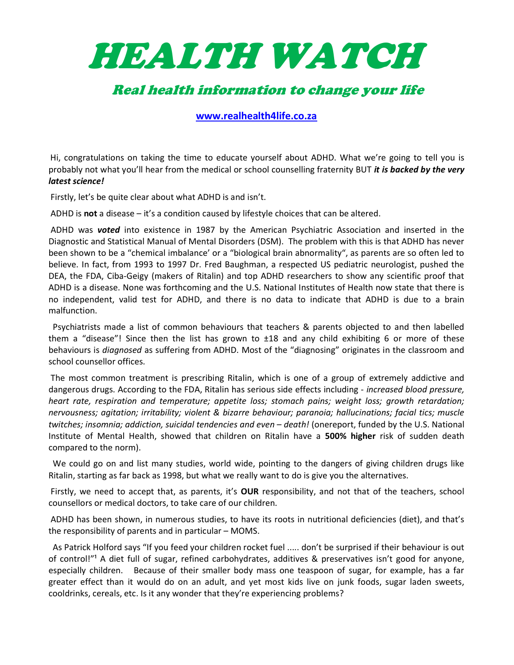

## Real health information to change your life

www.realhealth4life.co.za

Hi, congratulations on taking the time to educate yourself about ADHD. What we're going to tell you is probably not what you'll hear from the medical or school counselling fraternity BUT it is backed by the very latest science!

Firstly, let's be quite clear about what ADHD is and isn't.

ADHD is not a disease  $-$  it's a condition caused by lifestyle choices that can be altered.

ADHD was **voted** into existence in 1987 by the American Psychiatric Association and inserted in the Diagnostic and Statistical Manual of Mental Disorders (DSM). The problem with this is that ADHD has never been shown to be a "chemical imbalance' or a "biological brain abnormality", as parents are so often led to believe. In fact, from 1993 to 1997 Dr. Fred Baughman, a respected US pediatric neurologist, pushed the DEA, the FDA, Ciba-Geigy (makers of Ritalin) and top ADHD researchers to show any scientific proof that ADHD is a disease. None was forthcoming and the U.S. National Institutes of Health now state that there is no independent, valid test for ADHD, and there is no data to indicate that ADHD is due to a brain malfunction.

 Psychiatrists made a list of common behaviours that teachers & parents objected to and then labelled them a "disease"! Since then the list has grown to ±18 and any child exhibiting 6 or more of these behaviours is *diagnosed* as suffering from ADHD. Most of the "diagnosing" originates in the classroom and school counsellor offices.

 The most common treatment is prescribing Ritalin, which is one of a group of extremely addictive and dangerous drugs. According to the FDA, Ritalin has serious side effects including - increased blood pressure, heart rate, respiration and temperature; appetite loss; stomach pains; weight loss; growth retardation; nervousness; agitation; irritability; violent & bizarre behaviour; paranoia; hallucinations; facial tics; muscle twitches; insomnia; addiction, suicidal tendencies and even – death! (onereport, funded by the U.S. National Institute of Mental Health, showed that children on Ritalin have a 500% higher risk of sudden death compared to the norm).

 We could go on and list many studies, world wide, pointing to the dangers of giving children drugs like Ritalin, starting as far back as 1998, but what we really want to do is give you the alternatives.

Firstly, we need to accept that, as parents, it's **OUR** responsibility, and not that of the teachers, school counsellors or medical doctors, to take care of our children.

 ADHD has been shown, in numerous studies, to have its roots in nutritional deficiencies (diet), and that's the responsibility of parents and in particular – MOMS.

 As Patrick Holford says "If you feed your children rocket fuel ..... don't be surprised if their behaviour is out of control!"<sup>1</sup> A diet full of sugar, refined carbohydrates, additives & preservatives isn't good for anyone, especially children. Because of their smaller body mass one teaspoon of sugar, for example, has a far greater effect than it would do on an adult, and yet most kids live on junk foods, sugar laden sweets, cooldrinks, cereals, etc. Is it any wonder that they're experiencing problems?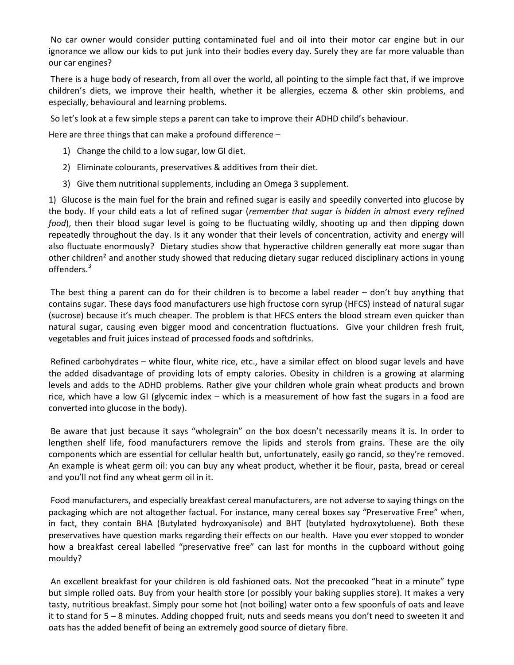No car owner would consider putting contaminated fuel and oil into their motor car engine but in our ignorance we allow our kids to put junk into their bodies every day. Surely they are far more valuable than our car engines?

 There is a huge body of research, from all over the world, all pointing to the simple fact that, if we improve children's diets, we improve their health, whether it be allergies, eczema & other skin problems, and especially, behavioural and learning problems.

So let's look at a few simple steps a parent can take to improve their ADHD child's behaviour.

Here are three things that can make a profound difference –

- 1) Change the child to a low sugar, low GI diet.
- 2) Eliminate colourants, preservatives & additives from their diet.
- 3) Give them nutritional supplements, including an Omega 3 supplement.

1) Glucose is the main fuel for the brain and refined sugar is easily and speedily converted into glucose by the body. If your child eats a lot of refined sugar (remember that sugar is hidden in almost every refined food), then their blood sugar level is going to be fluctuating wildly, shooting up and then dipping down repeatedly throughout the day. Is it any wonder that their levels of concentration, activity and energy will also fluctuate enormously? Dietary studies show that hyperactive children generally eat more sugar than other children<sup>2</sup> and another study showed that reducing dietary sugar reduced disciplinary actions in young offenders. $^3$ 

 The best thing a parent can do for their children is to become a label reader – don't buy anything that contains sugar. These days food manufacturers use high fructose corn syrup (HFCS) instead of natural sugar (sucrose) because it's much cheaper. The problem is that HFCS enters the blood stream even quicker than natural sugar, causing even bigger mood and concentration fluctuations. Give your children fresh fruit, vegetables and fruit juices instead of processed foods and softdrinks.

 Refined carbohydrates – white flour, white rice, etc., have a similar effect on blood sugar levels and have the added disadvantage of providing lots of empty calories. Obesity in children is a growing at alarming levels and adds to the ADHD problems. Rather give your children whole grain wheat products and brown rice, which have a low GI (glycemic index – which is a measurement of how fast the sugars in a food are converted into glucose in the body).

 Be aware that just because it says "wholegrain" on the box doesn't necessarily means it is. In order to lengthen shelf life, food manufacturers remove the lipids and sterols from grains. These are the oily components which are essential for cellular health but, unfortunately, easily go rancid, so they're removed. An example is wheat germ oil: you can buy any wheat product, whether it be flour, pasta, bread or cereal and you'll not find any wheat germ oil in it.

 Food manufacturers, and especially breakfast cereal manufacturers, are not adverse to saying things on the packaging which are not altogether factual. For instance, many cereal boxes say "Preservative Free" when, in fact, they contain BHA (Butylated hydroxyanisole) and BHT (butylated hydroxytoluene). Both these preservatives have question marks regarding their effects on our health. Have you ever stopped to wonder how a breakfast cereal labelled "preservative free" can last for months in the cupboard without going mouldy?

 An excellent breakfast for your children is old fashioned oats. Not the precooked "heat in a minute" type but simple rolled oats. Buy from your health store (or possibly your baking supplies store). It makes a very tasty, nutritious breakfast. Simply pour some hot (not boiling) water onto a few spoonfuls of oats and leave it to stand for 5 – 8 minutes. Adding chopped fruit, nuts and seeds means you don't need to sweeten it and oats has the added benefit of being an extremely good source of dietary fibre.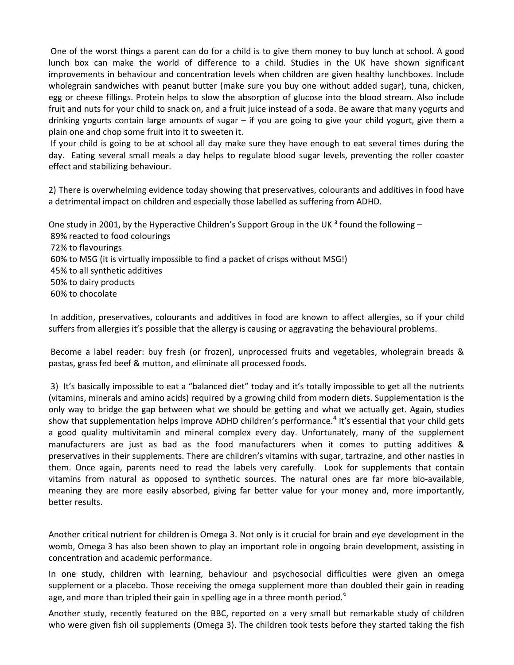One of the worst things a parent can do for a child is to give them money to buy lunch at school. A good lunch box can make the world of difference to a child. Studies in the UK have shown significant improvements in behaviour and concentration levels when children are given healthy lunchboxes. Include wholegrain sandwiches with peanut butter (make sure you buy one without added sugar), tuna, chicken, egg or cheese fillings. Protein helps to slow the absorption of glucose into the blood stream. Also include fruit and nuts for your child to snack on, and a fruit juice instead of a soda. Be aware that many yogurts and drinking yogurts contain large amounts of sugar – if you are going to give your child yogurt, give them a plain one and chop some fruit into it to sweeten it.

 If your child is going to be at school all day make sure they have enough to eat several times during the day. Eating several small meals a day helps to regulate blood sugar levels, preventing the roller coaster effect and stabilizing behaviour.

2) There is overwhelming evidence today showing that preservatives, colourants and additives in food have a detrimental impact on children and especially those labelled as suffering from ADHD.

One study in 2001, by the Hyperactive Children's Support Group in the UK  $^3$  found the following – 89% reacted to food colourings 72% to flavourings 60% to MSG (it is virtually impossible to find a packet of crisps without MSG!) 45% to all synthetic additives 50% to dairy products 60% to chocolate

 In addition, preservatives, colourants and additives in food are known to affect allergies, so if your child suffers from allergies it's possible that the allergy is causing or aggravating the behavioural problems.

 Become a label reader: buy fresh (or frozen), unprocessed fruits and vegetables, wholegrain breads & pastas, grass fed beef & mutton, and eliminate all processed foods.

 3) It's basically impossible to eat a "balanced diet" today and it's totally impossible to get all the nutrients (vitamins, minerals and amino acids) required by a growing child from modern diets. Supplementation is the only way to bridge the gap between what we should be getting and what we actually get. Again, studies show that supplementation helps improve ADHD children's performance.<sup>4</sup> It's essential that your child gets a good quality multivitamin and mineral complex every day. Unfortunately, many of the supplement manufacturers are just as bad as the food manufacturers when it comes to putting additives & preservatives in their supplements. There are children's vitamins with sugar, tartrazine, and other nasties in them. Once again, parents need to read the labels very carefully. Look for supplements that contain vitamins from natural as opposed to synthetic sources. The natural ones are far more bio-available, meaning they are more easily absorbed, giving far better value for your money and, more importantly, better results.

Another critical nutrient for children is Omega 3. Not only is it crucial for brain and eye development in the womb, Omega 3 has also been shown to play an important role in ongoing brain development, assisting in concentration and academic performance.

In one study, children with learning, behaviour and psychosocial difficulties were given an omega supplement or a placebo. Those receiving the omega supplement more than doubled their gain in reading age, and more than tripled their gain in spelling age in a three month period.<sup>6</sup>

Another study, recently featured on the BBC, reported on a very small but remarkable study of children who were given fish oil supplements (Omega 3). The children took tests before they started taking the fish